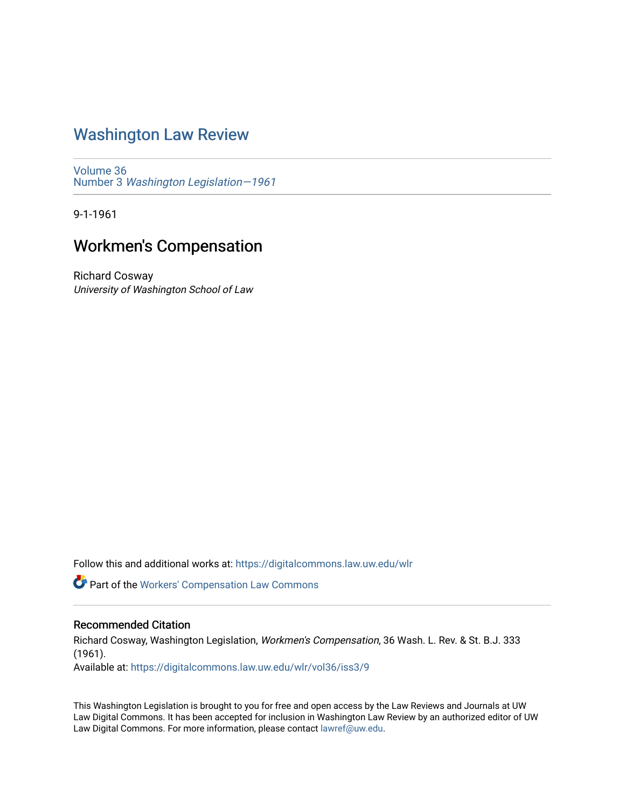## [Washington Law Review](https://digitalcommons.law.uw.edu/wlr)

[Volume 36](https://digitalcommons.law.uw.edu/wlr/vol36) Number 3 [Washington Legislation—1961](https://digitalcommons.law.uw.edu/wlr/vol36/iss3)

9-1-1961

## Workmen's Compensation

Richard Cosway University of Washington School of Law

Follow this and additional works at: [https://digitalcommons.law.uw.edu/wlr](https://digitalcommons.law.uw.edu/wlr?utm_source=digitalcommons.law.uw.edu%2Fwlr%2Fvol36%2Fiss3%2F9&utm_medium=PDF&utm_campaign=PDFCoverPages)

Part of the [Workers' Compensation Law Commons](http://network.bepress.com/hgg/discipline/889?utm_source=digitalcommons.law.uw.edu%2Fwlr%2Fvol36%2Fiss3%2F9&utm_medium=PDF&utm_campaign=PDFCoverPages)

## Recommended Citation

Richard Cosway, Washington Legislation, Workmen's Compensation, 36 Wash. L. Rev. & St. B.J. 333 (1961). Available at: [https://digitalcommons.law.uw.edu/wlr/vol36/iss3/9](https://digitalcommons.law.uw.edu/wlr/vol36/iss3/9?utm_source=digitalcommons.law.uw.edu%2Fwlr%2Fvol36%2Fiss3%2F9&utm_medium=PDF&utm_campaign=PDFCoverPages)

This Washington Legislation is brought to you for free and open access by the Law Reviews and Journals at UW Law Digital Commons. It has been accepted for inclusion in Washington Law Review by an authorized editor of UW Law Digital Commons. For more information, please contact [lawref@uw.edu](mailto:lawref@uw.edu).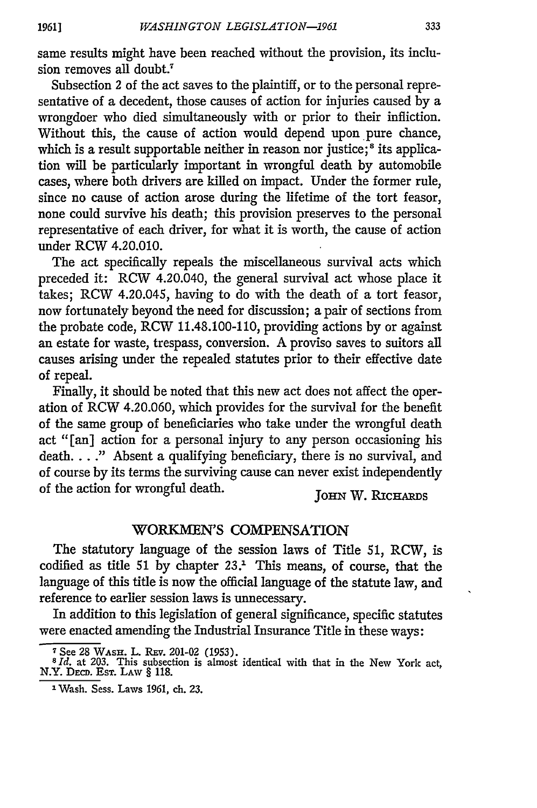same results might have been reached without the provision, its inclusion removes all doubt.<sup>7</sup>

Subsection 2 of the act saves to the plaintiff, or to the personal representative of a decedent, those causes of action for injuries caused by a wrongdoer who died simultaneously with or prior to their infliction. Without this, the cause of action would depend upon pure chance, which is a result supportable neither in reason nor justice;<sup>8</sup> its application will be particularly important in wrongful death by automobile cases, where both drivers are killed on impact. Under the former rule, since no cause of action arose during the lifetime of the tort feasor, none could survive his death; this provision preserves to the personal representative of each driver, for what it is worth, the cause of action under RCW 4.20.010.

The act specifically repeals the miscellaneous survival acts which preceded it: RCW 4.20.040, the general survival act whose place it takes; RCW 4.20.045, having to do with the death of a tort feasor, now fortunately beyond the need for discussion; a pair of sections from the probate code, RCW 11.48.100-110, providing actions by or against an estate for waste, trespass, conversion. A proviso saves to suitors all causes arising under the repealed statutes prior to their effective date of repeal.

Finally, it should be noted that this new act does not affect the operation of RCW 4.20.060, which provides for the survival for the benefit of the same group of beneficiaries who take under the wrongful death act "[an] action for a personal injury to any person occasioning his death...." Absent a qualifying beneficiary, there is no survival, and of course by its terms the surviving cause can never exist independently of the action for wrongful death. **JOHN W. RICHARDS** 

## WORKMEN'S COMPENSATION

The statutory language of the session laws of Title 51, RCW, is codified as title 51 by chapter 23.<sup>1</sup> This means, of course, that the language of this title is now the official language of the statute law, and reference to earlier session laws is unnecessary.

In addition to this legislation of general significance, specific statutes were enacted amending the Industrial Insurance Title in these ways:

<sup>7</sup>See **28** WAsH. L. **REv.** 201-02 (1953). *81d.* at **203.** This subsection is almost identical with that in the New York act, N.Y. DacD. EsT. **LAw** § 118.

<sup>&#</sup>x27;Wash. Sess. Laws 1961, ch. **23.**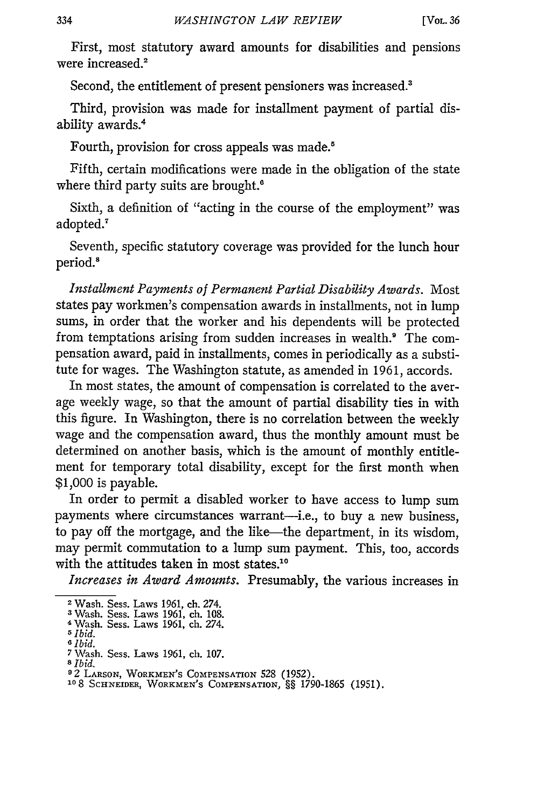First, most statutory award amounts for disabilities and pensions were increased.<sup>2</sup>

Second, the entitlement of present pensioners was increased.<sup>3</sup>

Third, provision was made for installment payment of partial disability awards.<sup>4</sup>

Fourth, provision for cross appeals was made.<sup>5</sup>

Fifth, certain modifications were made in the obligation of the state where third party suits are brought.<sup>6</sup>

Sixth, a definition of "acting in the course of the employment" was adopted.<sup>7</sup>

Seventh, specific statutory coverage was provided for the lunch hour period.'

*Installment Payments of Permanent Partial Disability Awards.* Most states pay workmen's compensation awards in installments, not in lump sums, in order that the worker and his dependents will be protected from temptations arising from sudden increases in wealth.' The compensation award, paid in installments, comes in periodically as a substitute for wages. The Washington statute, as amended in 1961, accords.

In most states, the amount of compensation is correlated to the average weekly wage, so that the amount of partial disability ties in with this figure. In Washington, there is no correlation between the weekly wage and the compensation award, thus the monthly amount must be determined on another basis, which is the amount of monthly entitlement for temporary total disability, except for the first month when \$1,000 is payable.

In order to permit a disabled worker to have access to lump sum payments where circumstances warrant-i.e., to buy a new business, to pay off the mortgage, and the like-the department, in its wisdom, may permit commutation to a lump sum payment. This, too, accords with the attitudes taken in most states.<sup>10</sup>

*Increases in Award Amounts.* Presumably, the various increases in

<sup>2</sup> Wash. Sess. Laws 1961, ch. 274.

**<sup>3</sup>** Wash. Sess. Laws 1961, ch. 108. 4 Wash. Sess. Laws 1961, ch. 274. *5 Ibid.*

*<sup>6</sup>Ibid.*

**<sup>7</sup>** Wash. Sess. Laws 1961, ch. 107.

*<sup>8</sup> Ibid.*

**<sup>9</sup>**2 **LARSON,** WORKMEN'S **COMPENSATION** 528 (1952). **108 SCHNEIDER,** WORKMEN'S **COMPENSATION,** §§ 1790-1865 (1951).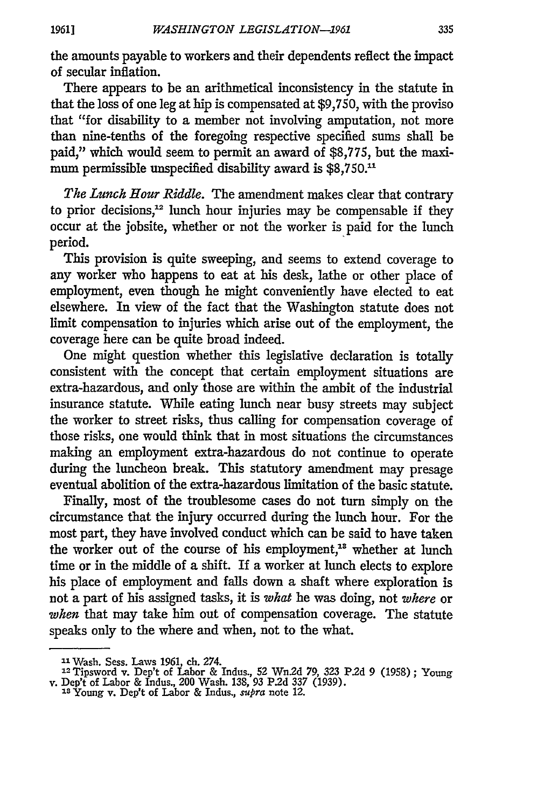the amounts payable to workers and their dependents reflect the impact of secular inflation.

There appears to be an arithmetical inconsistency in the statute in that the loss of one leg at hip is compensated at \$9,750, with the proviso that "for disability to a member not involving amputation, not more than nine-tenths of the foregoing respective specified sums shall be paid," which would seem to permit an award of \$8,775, but the maximum permissible unspecified disability award is \$8,750.<sup>11</sup>

*The Lunch Hour Riddle.* The amendment makes clear that contrary to prior decisions,<sup>12</sup> lunch hour injuries may be compensable if they occur at the jobsite, whether or not the worker is paid for the lunch period.

This provision is quite sweeping, and seems to extend coverage to any worker who happens to eat at his desk, lathe or other place of employment, even though he might conveniently have elected to eat elsewhere. In view of the fact that the Washington statute does not limit compensation to injuries which arise out of the employment, the coverage here can be quite broad indeed.

One might question whether this legislative declaration is totally consistent with the concept that certain employment situations are extra-hazardous, and only those are within the ambit of the industrial insurance statute. While eating lunch near busy streets may subject the worker to street risks, thus calling for compensation coverage of those risks, one would think that in most situations the circumstances making an employment extra-hazardous do not continue to operate during the luncheon break. This statutory amendment may presage eventual abolition of the extra-hazardous limitation of the basic statute.

Finally, most of the troublesome cases do not turn simply on the circumstance that the injury occurred during the lunch hour. For the most part, they have involved conduct which can be said to have taken the worker out of the course of his employment,<sup>18</sup> whether at lunch time or in the middle of a shift. If a worker at lunch elects to explore his place of employment and falls down a shaft where exploration is not a part of his assigned tasks, it is *what* he was doing, not *where* or *when* that may take him out of compensation coverage. The statute speaks only to the where and when, not to the what.

**<sup>31</sup>**Wash. Sess. Laws 1961, ch. 274. 12 Tipsword v. Dep't of Labor & Indus., 52 Wn2d 79, 323 **P.2d** 9 (1958) ; Young **v.** Dep't of Labor & Indus., 200 Wash. 138, 93 P.2d 337 (1939). **Is** Young v. Dep't of Labor & Indus., *supra* note 12.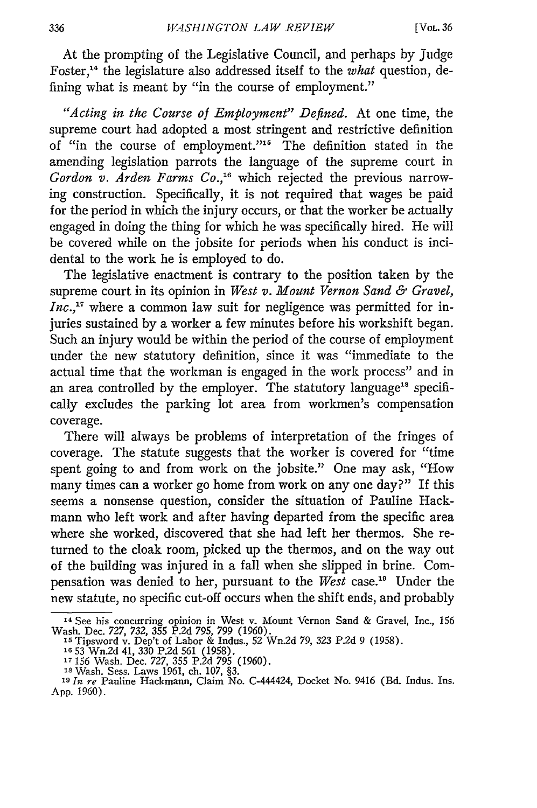At the prompting of the Legislative Council, and perhaps by Judge Foster,<sup>14</sup> the legislature also addressed itself to the *what* question, defining what is meant by "in the course of employment."

*"Acting in the Course of Employment" Defined.* At one time, the supreme court had adopted a most stringent and restrictive definition of "in the course of employment."<sup>15</sup> The definition stated in the amending legislation parrots the language of the supreme court in *Gordon v. Arden Farms Co.*,<sup>16</sup> which rejected the previous narrowing construction. Specifically, it is not required that wages be paid for the period in which the injury occurs, or that the worker be actually engaged in doing the thing for which he was specifically hired. He will be covered while on the jobsite for periods when his conduct is incidental to the work he is employed to do.

The legislative enactment is contrary to the position taken by the supreme court in its opinion in *West v. Mount Vernon Sand & Gravel, Inc.*,<sup>17</sup> where a common law suit for negligence was permitted for injuries sustained by a worker a few minutes before his workshift began. Such an injury would be within the period of the course of employment under the new statutory definition, since it was "immediate to the actual time that the workman is engaged in the work process" and in an area controlled by the employer. The statutory language<sup>18</sup> specifically excludes the parking lot area from workmen's compensation coverage.

There will always be problems of interpretation of the fringes of coverage. The statute suggests that the worker is covered for "time spent going to and from work on the jobsite." One may ask, "How many times can a worker go home from work on any one day?" If this seems a nonsense question, consider the situation of Pauline Hackmann who left work and after having departed from the specific area where she worked, discovered that she had left her thermos. She returned to the cloak room, picked up the thermos, and on the way out of the building was injured in a fall when she slipped in brine. Compensation was denied to her, pursuant to the West case.<sup>19</sup> Under the new statute, no specific cut-off occurs when the shift ends, and probably

<sup>&</sup>lt;sup>14</sup> See his concurring opinion in West v. Mount Vernon Sand & Gravel, Inc., 156 Wash. Dec. 727, 732, **355** P.2d 795, 799 (1960). **<sup>15</sup>**Tipsword v. Dep't of Labor & Indus., 52 Wn.2d 79, 323 P.2d 9 (1958). **<sup>16</sup>53** Wn.2d 41, 330 P.2d 561 (1958).

**<sup>17</sup>**156 Wash. Dec. 727, 355 P.2d 795 (1960).

**<sup>18</sup>**Wash. Sess. Laws 1961, ch. 107, **§3. <sup>19</sup>***In* re Pauline Hackmann, Claim No. C-444424, Docket No. 9416 (Bd. Indus. Ins. App. 1960).